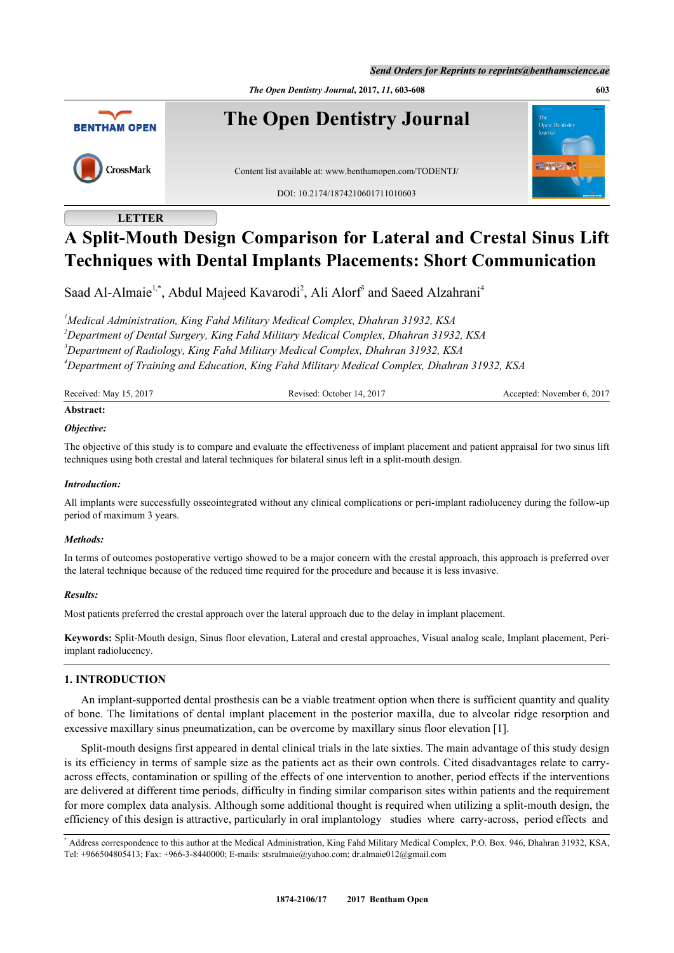*Send Orders for Reprints to reprints@benthamscience.ae*

*The Open Dentistry Journal***, 2017,** *11***, 603-608 603**



# **LETTER**

# **A Split-Mouth Design Comparison for Lateral and Crestal Sinus Lift Techniques with Dental Implants Placements: Short Communication**

Saad Al-Almaie<sup>[1,](#page-0-0)[\\*](#page-0-1)</sup>, Abdul Majeed Kavarodi<sup>[2](#page-0-2)</sup>, Ali Alorf<sup>[3](#page-0-0)</sup> and Saeed Alzahrani<sup>[4](#page-0-3)</sup>

<span id="page-0-2"></span><span id="page-0-0"></span>*Medical Administration, King Fahd Military Medical Complex, Dhahran 31932, KSA Department of Dental Surgery, King Fahd Military Medical Complex, Dhahran 31932, KSA Department of Radiology, King Fahd Military Medical Complex, Dhahran 31932, KSA Department of Training and Education, King Fahd Military Medical Complex, Dhahran 31932, KSA*

<span id="page-0-3"></span>

| Received: May 15, 2017 | Revised: October 14, 2017 | Accepted: November 6, 2017 |
|------------------------|---------------------------|----------------------------|
| Abstract:              |                           |                            |

# *Objective:*

The objective of this study is to compare and evaluate the effectiveness of implant placement and patient appraisal for two sinus lift techniques using both crestal and lateral techniques for bilateral sinus left in a split-mouth design.

#### *Introduction:*

All implants were successfully osseointegrated without any clinical complications or peri-implant radiolucency during the follow-up period of maximum 3 years.

#### *Methods:*

In terms of outcomes postoperative vertigo showed to be a major concern with the crestal approach, this approach is preferred over the lateral technique because of the reduced time required for the procedure and because it is less invasive.

#### *Results:*

Most patients preferred the crestal approach over the lateral approach due to the delay in implant placement.

**Keywords:** Split-Mouth design, Sinus floor elevation, Lateral and crestal approaches, Visual analog scale, Implant placement, Periimplant radiolucency.

# **1. INTRODUCTION**

An implant-supported dental prosthesis can be a viable treatment option when there is sufficient quantity and quality of bone. The limitations of dental implant placement in the posterior maxilla, due to alveolar ridge resorption and excessive maxillary sinus pneumatization, can be overcome by maxillary sinus floor elevation [\[1](#page-4-0)].

Split-mouth designs first appeared in dental clinical trials in the late sixties. The main advantage of this study design is its efficiency in terms of sample size as the patients act as their own controls. Cited disadvantages relate to carryacross effects, contamination or spilling of the effects of one intervention to another, period effects if the interventions are delivered at different time periods, difficulty in finding similar comparison sites within patients and the requirement for more complex data analysis. Although some additional thought is required when utilizing a split-mouth design, the efficiency of this design is attractive, particularly in oral implantology studies where carry-across, period effects and

<span id="page-0-1"></span><sup>\*</sup> Address correspondence to this author at the Medical Administration, King Fahd Military Medical Complex, P.O. Box. 946, Dhahran 31932, KSA, Tel: +966504805413; Fax: +966-3-8440000; E-mails: [stsralmaie@yahoo.com;](mailto:stsralmaie@yahoo.com) [dr.almaie012@gmail.com](mailto:dr.almaie012@gmail.com)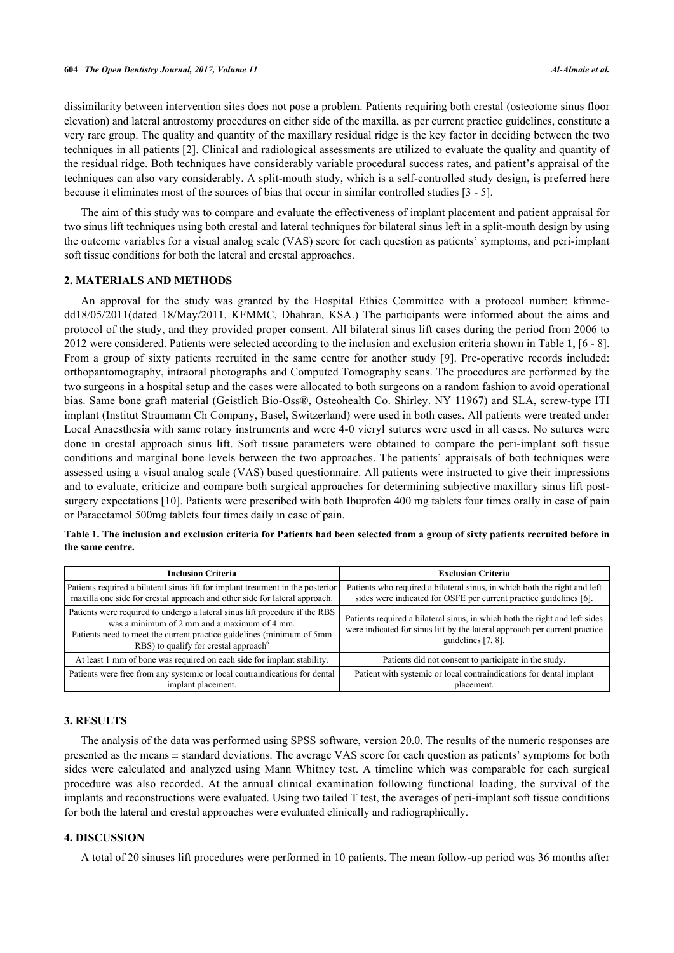dissimilarity between intervention sites does not pose a problem. Patients requiring both crestal (osteotome sinus floor elevation) and lateral antrostomy procedures on either side of the maxilla, as per current practice guidelines, constitute a very rare group. The quality and quantity of the maxillary residual ridge is the key factor in deciding between the two techniques in all patients [[2\]](#page-4-1). Clinical and radiological assessments are utilized to evaluate the quality and quantity of the residual ridge. Both techniques have considerably variable procedural success rates, and patient's appraisal of the techniques can also vary considerably. A split-mouth study, which is a self-controlled study design, is preferred here because it eliminates most of the sources of bias that occur in similar controlled studies [\[3](#page-4-2) - [5\]](#page-4-3).

The aim of this study was to compare and evaluate the effectiveness of implant placement and patient appraisal for two sinus lift techniques using both crestal and lateral techniques for bilateral sinus left in a split-mouth design by using the outcome variables for a visual analog scale (VAS) score for each question as patients' symptoms, and peri-implant soft tissue conditions for both the lateral and crestal approaches.

#### **2. MATERIALS AND METHODS**

An approval for the study was granted by the Hospital Ethics Committee with a protocol number: kfmmcdd18/05/2011(dated 18/May/2011, KFMMC, Dhahran, KSA.) The participants were informed about the aims and protocol of the study, and they provided proper consent. All bilateral sinus lift cases during the period from 2006 to 2012 were considered. Patients were selected according to the inclusion and exclusion criteria shown in Table **[1](#page-1-0)**, [\[6](#page-4-4) - [8\]](#page-5-0). From a group of sixty patients recruited in the same centre for another study [[9\]](#page-5-1). Pre-operative records included: orthopantomography, intraoral photographs and Computed Tomography scans. The procedures are performed by the two surgeons in a hospital setup and the cases were allocated to both surgeons on a random fashion to avoid operational bias. Same bone graft material (Geistlich Bio-Oss®, Osteohealth Co. Shirley. NY 11967) and SLA, screw-type ITI implant (Institut Straumann Ch Company, Basel, Switzerland) were used in both cases. All patients were treated under Local Anaesthesia with same rotary instruments and were 4-0 vicryl sutures were used in all cases. No sutures were done in crestal approach sinus lift. Soft tissue parameters were obtained to compare the peri-implant soft tissue conditions and marginal bone levels between the two approaches. The patients' appraisals of both techniques were assessed using a visual analog scale (VAS) based questionnaire. All patients were instructed to give their impressions and to evaluate, criticize and compare both surgical approaches for determining subjective maxillary sinus lift postsurgery expectations [[10\]](#page-5-2). Patients were prescribed with both Ibuprofen 400 mg tablets four times orally in case of pain or Paracetamol 500mg tablets four times daily in case of pain.

| <b>Inclusion Criteria</b>                                                                                                                                                                                                                                 | <b>Exclusion Criteria</b>                                                                                                                                                       |  |  |
|-----------------------------------------------------------------------------------------------------------------------------------------------------------------------------------------------------------------------------------------------------------|---------------------------------------------------------------------------------------------------------------------------------------------------------------------------------|--|--|
| Patients required a bilateral sinus lift for implant treatment in the posterior<br>maxilla one side for crestal approach and other side for lateral approach.                                                                                             | Patients who required a bilateral sinus, in which both the right and left<br>sides were indicated for OSFE per current practice guidelines [6].                                 |  |  |
| Patients were required to undergo a lateral sinus lift procedure if the RBS<br>was a minimum of 2 mm and a maximum of 4 mm.<br>Patients need to meet the current practice guidelines (minimum of 5mm<br>RBS) to qualify for crestal approach <sup>6</sup> | Patients required a bilateral sinus, in which both the right and left sides<br>were indicated for sinus lift by the lateral approach per current practice<br>guidelines [7, 8]. |  |  |
| At least 1 mm of bone was required on each side for implant stability.                                                                                                                                                                                    | Patients did not consent to participate in the study.                                                                                                                           |  |  |
| Patients were free from any systemic or local contraindications for dental<br>implant placement.                                                                                                                                                          | Patient with systemic or local contraindications for dental implant<br>placement.                                                                                               |  |  |

<span id="page-1-0"></span>**Table 1. The inclusion and exclusion criteria for Patients had been selected from a group of sixty patients recruited before in the same centre.**

#### **3. RESULTS**

The analysis of the data was performed using SPSS software, version 20.0. The results of the numeric responses are presented as the means ± standard deviations. The average VAS score for each question as patients' symptoms for both sides were calculated and analyzed using Mann Whitney test. A timeline which was comparable for each surgical procedure was also recorded. At the annual clinical examination following functional loading, the survival of the implants and reconstructions were evaluated. Using two tailed T test, the averages of peri-implant soft tissue conditions for both the lateral and crestal approaches were evaluated clinically and radiographically.

#### **4. DISCUSSION**

A total of 20 sinuses lift procedures were performed in 10 patients. The mean follow-up period was 36 months after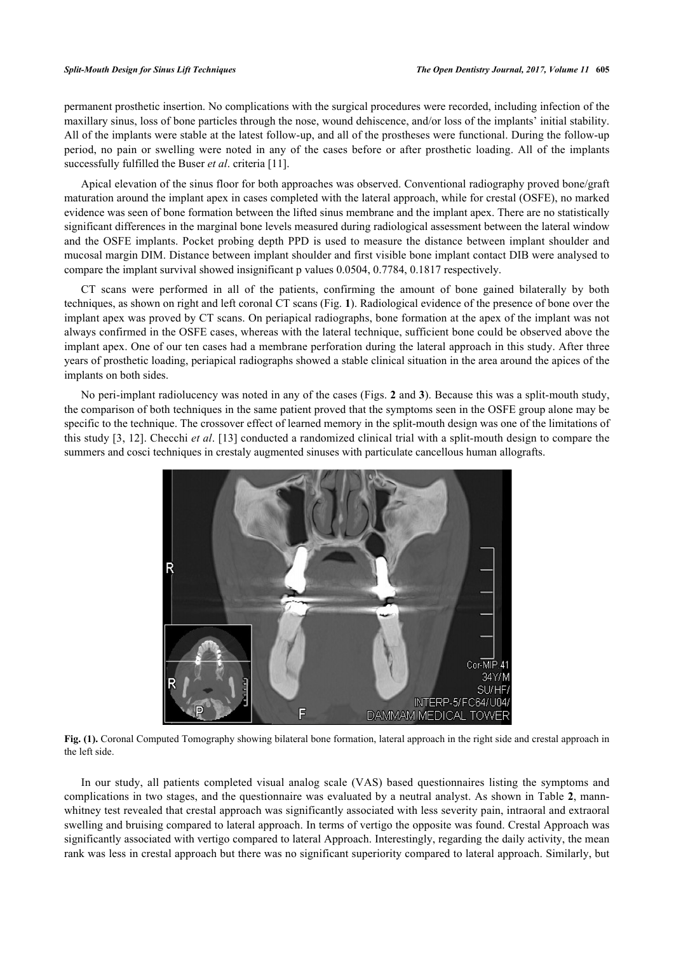permanent prosthetic insertion. No complications with the surgical procedures were recorded, including infection of the maxillary sinus, loss of bone particles through the nose, wound dehiscence, and/or loss of the implants' initial stability. All of the implants were stable at the latest follow-up, and all of the prostheses were functional. During the follow-up period, no pain or swelling were noted in any of the cases before or after prosthetic loading. All of the implants successfully fulfilled the Buser *et al*. criteria [[11\]](#page-5-3).

Apical elevation of the sinus floor for both approaches was observed. Conventional radiography proved bone/graft maturation around the implant apex in cases completed with the lateral approach, while for crestal (OSFE), no marked evidence was seen of bone formation between the lifted sinus membrane and the implant apex. There are no statistically significant differences in the marginal bone levels measured during radiological assessment between the lateral window and the OSFE implants. Pocket probing depth PPD is used to measure the distance between implant shoulder and mucosal margin DIM. Distance between implant shoulder and first visible bone implant contact DIB were analysed to compare the implant survival showed insignificant p values 0.0504, 0.7784, 0.1817 respectively.

CT scans were performed in all of the patients, confirming the amount of bone gained bilaterally by both techniques, as shown on right and left coronal CT scans (Fig. **[1](#page-2-0)**). Radiological evidence of the presence of bone over the implant apex was proved by CT scans. On periapical radiographs, bone formation at the apex of the implant was not always confirmed in the OSFE cases, whereas with the lateral technique, sufficient bone could be observed above the implant apex. One of our ten cases had a membrane perforation during the lateral approach in this study. After three years of prosthetic loading, periapical radiographs showed a stable clinical situation in the area around the apices of the implants on both sides.

<span id="page-2-0"></span>No peri-implant radiolucency was noted in any of the cases (Figs. **[2](#page-3-0)** and **[3](#page-3-1)**). Because this was a split-mouth study, the comparison of both techniques in the same patient proved that the symptoms seen in the OSFE group alone may be specific to the technique. The crossover effect of learned memory in the split-mouth design was one of the limitations of this study [[3](#page-4-2), [12\]](#page-5-4). Checchi *et al*. [\[13\]](#page-5-5) conducted a randomized clinical trial with a split-mouth design to compare the summers and cosci techniques in crestaly augmented sinuses with particulate cancellous human allografts.



**Fig. (1).** Coronal Computed Tomography showing bilateral bone formation, lateral approach in the right side and crestal approach in the left side.

In our study, all patients completed visual analog scale (VAS) based questionnaires listing the symptoms and complications in two stages, and the questionnaire was evaluated by a neutral analyst. As shown in Table **[2](#page-3-2)**, mannwhitney test revealed that crestal approach was significantly associated with less severity pain, intraoral and extraoral swelling and bruising compared to lateral approach. In terms of vertigo the opposite was found. Crestal Approach was significantly associated with vertigo compared to lateral Approach. Interestingly, regarding the daily activity, the mean rank was less in crestal approach but there was no significant superiority compared to lateral approach. Similarly, but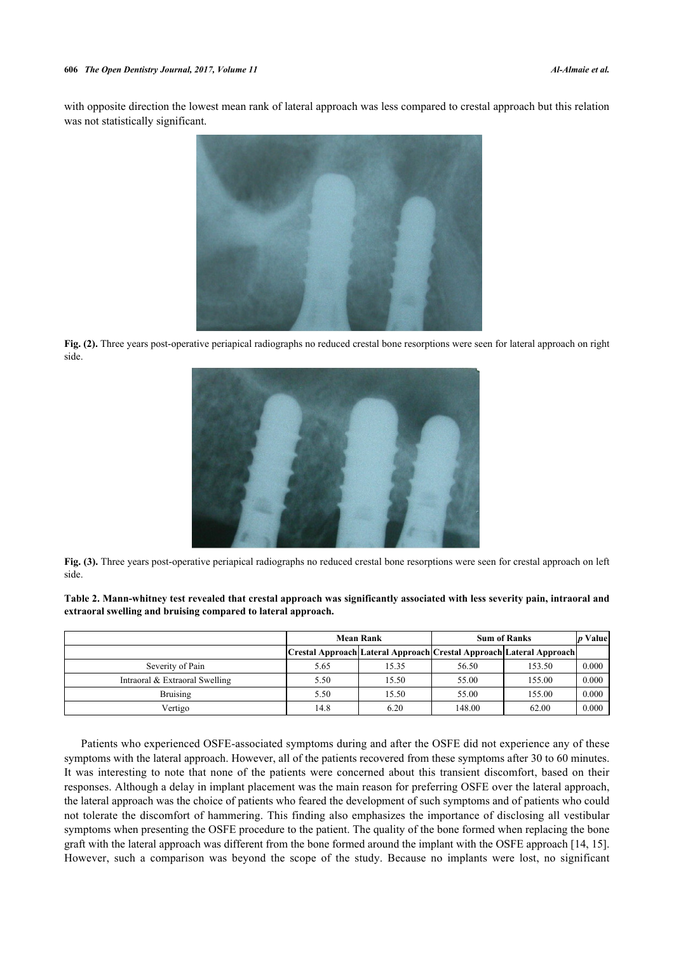<span id="page-3-0"></span>with opposite direction the lowest mean rank of lateral approach was less compared to crestal approach but this relation was not statistically significant.



<span id="page-3-1"></span>**Fig. (2).** Three years post-operative periapical radiographs no reduced crestal bone resorptions were seen for lateral approach on right side.



**Fig. (3).** Three years post-operative periapical radiographs no reduced crestal bone resorptions were seen for crestal approach on left side.

<span id="page-3-2"></span>**Table 2. Mann-whitney test revealed that crestal approach was significantly associated with less severity pain, intraoral and extraoral swelling and bruising compared to lateral approach.**

|                                | <b>Mean Rank</b> |                                                                     | <b>Sum of Ranks</b> |        | Valuel |
|--------------------------------|------------------|---------------------------------------------------------------------|---------------------|--------|--------|
|                                |                  | Crestal Approach Lateral Approach Crestal Approach Lateral Approach |                     |        |        |
| Severity of Pain               | 5.65             | 15.35                                                               | 56.50               | 153.50 | 0.000  |
| Intraoral & Extraoral Swelling | 5.50             | 15.50                                                               | 55.00               | 155.00 | 0.000  |
| <b>Bruising</b>                | 5.50             | 15.50                                                               | 55.00               | 155.00 | 0.000  |
| Vertigo                        | 14.8             | 6.20                                                                | 148.00              | 62.00  | 0.000  |

Patients who experienced OSFE-associated symptoms during and after the OSFE did not experience any of these symptoms with the lateral approach. However, all of the patients recovered from these symptoms after 30 to 60 minutes. It was interesting to note that none of the patients were concerned about this transient discomfort, based on their responses. Although a delay in implant placement was the main reason for preferring OSFE over the lateral approach, the lateral approach was the choice of patients who feared the development of such symptoms and of patients who could not tolerate the discomfort of hammering. This finding also emphasizes the importance of disclosing all vestibular symptoms when presenting the OSFE procedure to the patient. The quality of the bone formed when replacing the bone graft with the lateral approach was different from the bone formed around the implant with the OSFE approach [[14,](#page-5-6) [15\]](#page-5-7). However, such a comparison was beyond the scope of the study. Because no implants were lost, no significant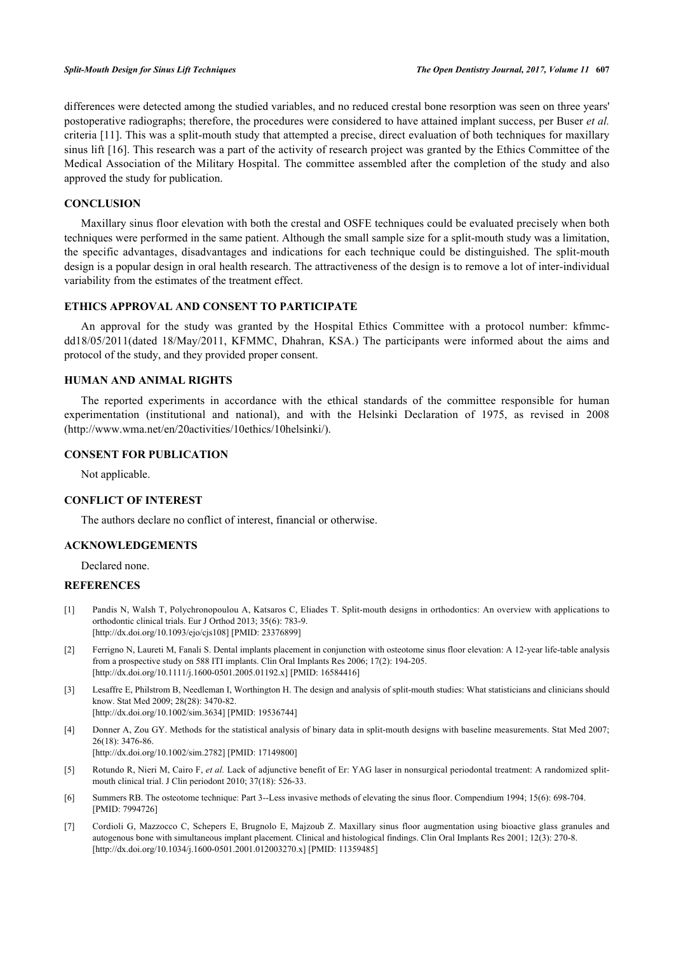differences were detected among the studied variables, and no reduced crestal bone resorption was seen on three years' postoperative radiographs; therefore, the procedures were considered to have attained implant success, per Buser *et al.* criteria [[11](#page-5-3)]. This was a split-mouth study that attempted a precise, direct evaluation of both techniques for maxillary sinus lift [[16\]](#page-5-8). This research was a part of the activity of research project was granted by the Ethics Committee of the Medical Association of the Military Hospital. The committee assembled after the completion of the study and also approved the study for publication.

### **CONCLUSION**

Maxillary sinus floor elevation with both the crestal and OSFE techniques could be evaluated precisely when both techniques were performed in the same patient. Although the small sample size for a split-mouth study was a limitation, the specific advantages, disadvantages and indications for each technique could be distinguished. The split-mouth design is a popular design in oral health research. The attractiveness of the design is to remove a lot of inter-individual variability from the estimates of the treatment effect.

#### **ETHICS APPROVAL AND CONSENT TO PARTICIPATE**

An approval for the study was granted by the Hospital Ethics Committee with a protocol number: kfmmcdd18/05/2011(dated 18/May/2011, KFMMC, Dhahran, KSA.) The participants were informed about the aims and protocol of the study, and they provided proper consent.

#### **HUMAN AND ANIMAL RIGHTS**

The reported experiments in accordance with the ethical standards of the committee responsible for human experimentation (institutional and national), and with the Helsinki Declaration of 1975, as revised in 2008 [\(http://www.wma.net/en/20activities/10ethics/10helsinki/\)](http://www.wma.net/en/20activities/10ethics/10helsinki/).

#### **CONSENT FOR PUBLICATION**

Not applicable.

#### **CONFLICT OF INTEREST**

The authors declare no conflict of interest, financial or otherwise.

#### **ACKNOWLEDGEMENTS**

Declared none.

#### **REFERENCES**

- <span id="page-4-0"></span>[1] Pandis N, Walsh T, Polychronopoulou A, Katsaros C, Eliades T. Split-mouth designs in orthodontics: An overview with applications to orthodontic clinical trials. Eur J Orthod 2013; 35(6): 783-9. [\[http://dx.doi.org/10.1093/ejo/cjs108\]](http://dx.doi.org/10.1093/ejo/cjs108) [PMID: [23376899](http://www.ncbi.nlm.nih.gov/pubmed/23376899)]
- <span id="page-4-1"></span>[2] Ferrigno N, Laureti M, Fanali S. Dental implants placement in conjunction with osteotome sinus floor elevation: A 12-year life-table analysis from a prospective study on 588 ITI implants. Clin Oral Implants Res 2006; 17(2): 194-205. [\[http://dx.doi.org/10.1111/j.1600-0501.2005.01192.x\]](http://dx.doi.org/10.1111/j.1600-0501.2005.01192.x) [PMID: [16584416](http://www.ncbi.nlm.nih.gov/pubmed/16584416)]
- <span id="page-4-2"></span>[3] Lesaffre E, Philstrom B, Needleman I, Worthington H. The design and analysis of split-mouth studies: What statisticians and clinicians should know. Stat Med 2009; 28(28): 3470-82. [\[http://dx.doi.org/10.1002/sim.3634](http://dx.doi.org/10.1002/sim.3634)] [PMID: [19536744\]](http://www.ncbi.nlm.nih.gov/pubmed/19536744)
- [4] Donner A, Zou GY. Methods for the statistical analysis of binary data in split-mouth designs with baseline measurements. Stat Med 2007; 26(18): 3476-86.

[\[http://dx.doi.org/10.1002/sim.2782](http://dx.doi.org/10.1002/sim.2782)] [PMID: [17149800\]](http://www.ncbi.nlm.nih.gov/pubmed/17149800)

- <span id="page-4-3"></span>[5] Rotundo R, Nieri M, Cairo F, *et al.* Lack of adjunctive benefit of Er: YAG laser in nonsurgical periodontal treatment: A randomized splitmouth clinical trial. J Clin periodont 2010; 37(18): 526-33.
- <span id="page-4-4"></span>[6] Summers RB. The osteotome technique: Part 3--Less invasive methods of elevating the sinus floor. Compendium 1994; 15(6): 698-704. [PMID: [7994726\]](http://www.ncbi.nlm.nih.gov/pubmed/7994726)
- <span id="page-4-5"></span>[7] Cordioli G, Mazzocco C, Schepers E, Brugnolo E, Majzoub Z. Maxillary sinus floor augmentation using bioactive glass granules and autogenous bone with simultaneous implant placement. Clinical and histological findings. Clin Oral Implants Res 2001; 12(3): 270-8. [\[http://dx.doi.org/10.1034/j.1600-0501.2001.012003270.x\]](http://dx.doi.org/10.1034/j.1600-0501.2001.012003270.x) [PMID: [11359485](http://www.ncbi.nlm.nih.gov/pubmed/11359485)]